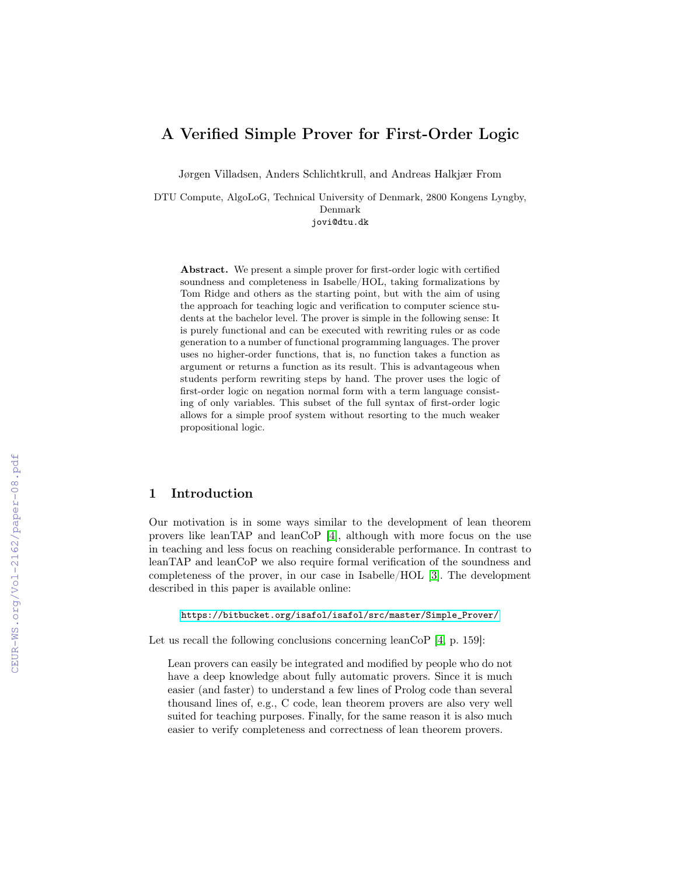# A Verified Simple Prover for First-Order Logic

Jørgen Villadsen, Anders Schlichtkrull, and Andreas Halkjær From

DTU Compute, AlgoLoG, Technical University of Denmark, 2800 Kongens Lyngby, Denmark jovi@dtu.dk

Abstract. We present a simple prover for first-order logic with certified soundness and completeness in Isabelle/HOL, taking formalizations by Tom Ridge and others as the starting point, but with the aim of using the approach for teaching logic and verification to computer science students at the bachelor level. The prover is simple in the following sense: It is purely functional and can be executed with rewriting rules or as code generation to a number of functional programming languages. The prover uses no higher-order functions, that is, no function takes a function as argument or returns a function as its result. This is advantageous when students perform rewriting steps by hand. The prover uses the logic of first-order logic on negation normal form with a term language consisting of only variables. This subset of the full syntax of first-order logic allows for a simple proof system without resorting to the much weaker propositional logic.

# 1 Introduction

Our motivation is in some ways similar to the development of lean theorem provers like leanTAP and leanCoP [\[4\]](#page--1-0), although with more focus on the use in teaching and less focus on reaching considerable performance. In contrast to leanTAP and leanCoP we also require formal verification of the soundness and completeness of the prover, in our case in Isabelle/HOL [\[3\]](#page--1-1). The development described in this paper is available online:

[https://bitbucket.org/isafol/isafol/src/master/Simple\\_Prover/](https://bitbucket.org/isafol/isafol/src/master/Simple_Prover/)

Let us recall the following conclusions concerning leanCoP [\[4,](#page--1-0) p. 159]:

Lean provers can easily be integrated and modified by people who do not have a deep knowledge about fully automatic provers. Since it is much easier (and faster) to understand a few lines of Prolog code than several thousand lines of, e.g., C code, lean theorem provers are also very well suited for teaching purposes. Finally, for the same reason it is also much easier to verify completeness and correctness of lean theorem provers.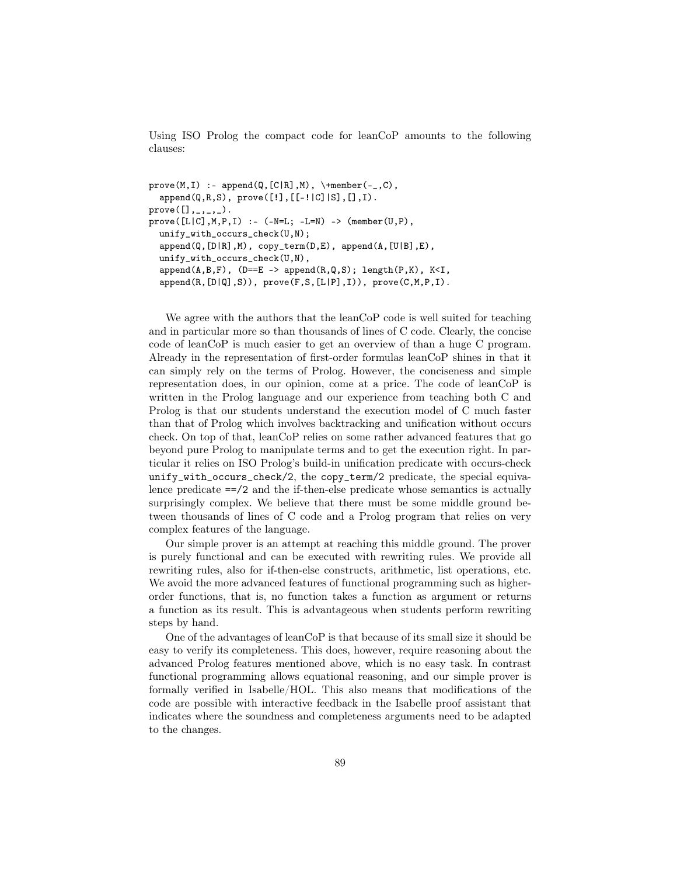Using ISO Prolog the compact code for leanCoP amounts to the following clauses:

```
prove(M, I) :- append(Q, [C|R], M), \+member(-, C),
  append(Q,R,S), prove([!], [[-!]C][S], [], [], I).
prove([],\_,\_,\_.
prove([L|C], M, P, I) :- (-N=L; -L=N) -> (member(U, P),unify_with_occurs_check(U,N);
  append(Q,[D|R],M), copy_term(D,E), append(A,[U|B],E),
  unify_with_occurs_check(U,N),
  append(A,B,F), (D==E -> append(R,Q,S); length(P,K), K<I,append(R,[D|Q],S)), prove(F,S,[L|P],I)), prove(C,M,P,I).
```
We agree with the authors that the leanCoP code is well suited for teaching and in particular more so than thousands of lines of C code. Clearly, the concise code of leanCoP is much easier to get an overview of than a huge C program. Already in the representation of first-order formulas leanCoP shines in that it can simply rely on the terms of Prolog. However, the conciseness and simple representation does, in our opinion, come at a price. The code of leanCoP is written in the Prolog language and our experience from teaching both C and Prolog is that our students understand the execution model of C much faster than that of Prolog which involves backtracking and unification without occurs check. On top of that, leanCoP relies on some rather advanced features that go beyond pure Prolog to manipulate terms and to get the execution right. In particular it relies on ISO Prolog's build-in unification predicate with occurs-check unify\_with\_occurs\_check/2, the copy\_term/2 predicate, the special equivalence predicate  $=2$  and the if-then-else predicate whose semantics is actually surprisingly complex. We believe that there must be some middle ground between thousands of lines of C code and a Prolog program that relies on very complex features of the language.

Our simple prover is an attempt at reaching this middle ground. The prover is purely functional and can be executed with rewriting rules. We provide all rewriting rules, also for if-then-else constructs, arithmetic, list operations, etc. We avoid the more advanced features of functional programming such as higherorder functions, that is, no function takes a function as argument or returns a function as its result. This is advantageous when students perform rewriting steps by hand.

One of the advantages of leanCoP is that because of its small size it should be easy to verify its completeness. This does, however, require reasoning about the advanced Prolog features mentioned above, which is no easy task. In contrast functional programming allows equational reasoning, and our simple prover is formally verified in Isabelle/HOL. This also means that modifications of the code are possible with interactive feedback in the Isabelle proof assistant that indicates where the soundness and completeness arguments need to be adapted to the changes.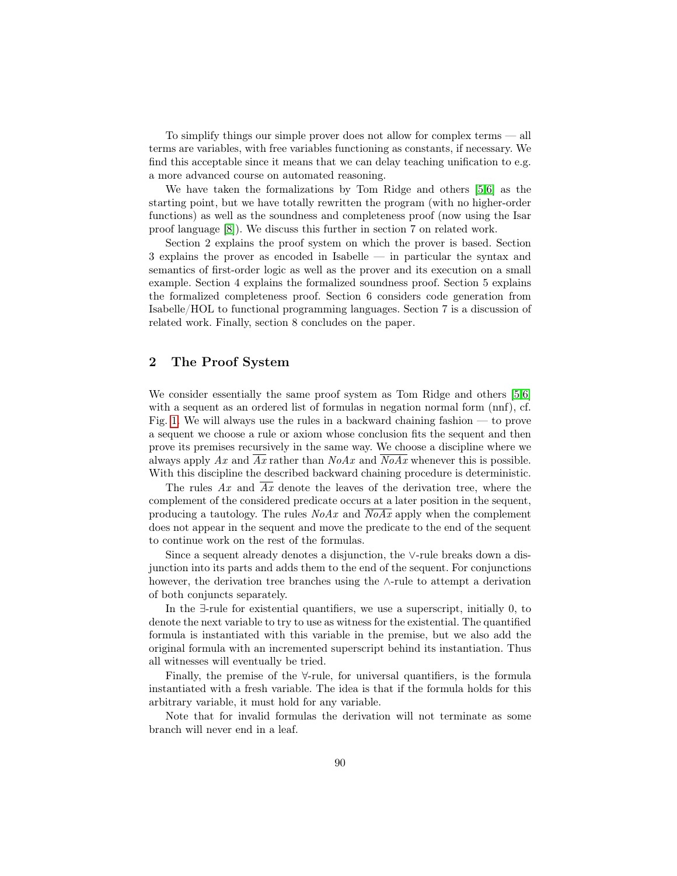To simplify things our simple prover does not allow for complex terms — all terms are variables, with free variables functioning as constants, if necessary. We find this acceptable since it means that we can delay teaching unification to e.g. a more advanced course on automated reasoning.

We have taken the formalizations by Tom Ridge and others [\[5,](#page-16-0)[6\]](#page-16-1) as the starting point, but we have totally rewritten the program (with no higher-order functions) as well as the soundness and completeness proof (now using the Isar proof language [\[8\]](#page-16-2)). We discuss this further in section 7 on related work.

Section 2 explains the proof system on which the prover is based. Section 3 explains the prover as encoded in Isabelle — in particular the syntax and semantics of first-order logic as well as the prover and its execution on a small example. Section 4 explains the formalized soundness proof. Section 5 explains the formalized completeness proof. Section 6 considers code generation from Isabelle/HOL to functional programming languages. Section 7 is a discussion of related work. Finally, section 8 concludes on the paper.

# 2 The Proof System

We consider essentially the same proof system as Tom Ridge and others [\[5,](#page-16-0)[6\]](#page-16-1) with a sequent as an ordered list of formulas in negation normal form (nnf), cf. Fig. [1.](#page-3-0) We will always use the rules in a backward chaining fashion — to prove a sequent we choose a rule or axiom whose conclusion fits the sequent and then prove its premises recursively in the same way. We choose a discipline where we always apply Ax and  $\overline{Ax}$  rather than  $N_0Ax$  and  $\overline{N_0Ax}$  whenever this is possible. With this discipline the described backward chaining procedure is deterministic.

The rules  $Ax$  and  $\overline{Ax}$  denote the leaves of the derivation tree, where the complement of the considered predicate occurs at a later position in the sequent, producing a tautology. The rules  $N_0Ax$  and  $\overline{N_0Ax}$  apply when the complement does not appear in the sequent and move the predicate to the end of the sequent to continue work on the rest of the formulas.

Since a sequent already denotes a disjunction, the ∨-rule breaks down a disjunction into its parts and adds them to the end of the sequent. For conjunctions however, the derivation tree branches using the ∧-rule to attempt a derivation of both conjuncts separately.

In the ∃-rule for existential quantifiers, we use a superscript, initially 0, to denote the next variable to try to use as witness for the existential. The quantified formula is instantiated with this variable in the premise, but we also add the original formula with an incremented superscript behind its instantiation. Thus all witnesses will eventually be tried.

Finally, the premise of the ∀-rule, for universal quantifiers, is the formula instantiated with a fresh variable. The idea is that if the formula holds for this arbitrary variable, it must hold for any variable.

Note that for invalid formulas the derivation will not terminate as some branch will never end in a leaf.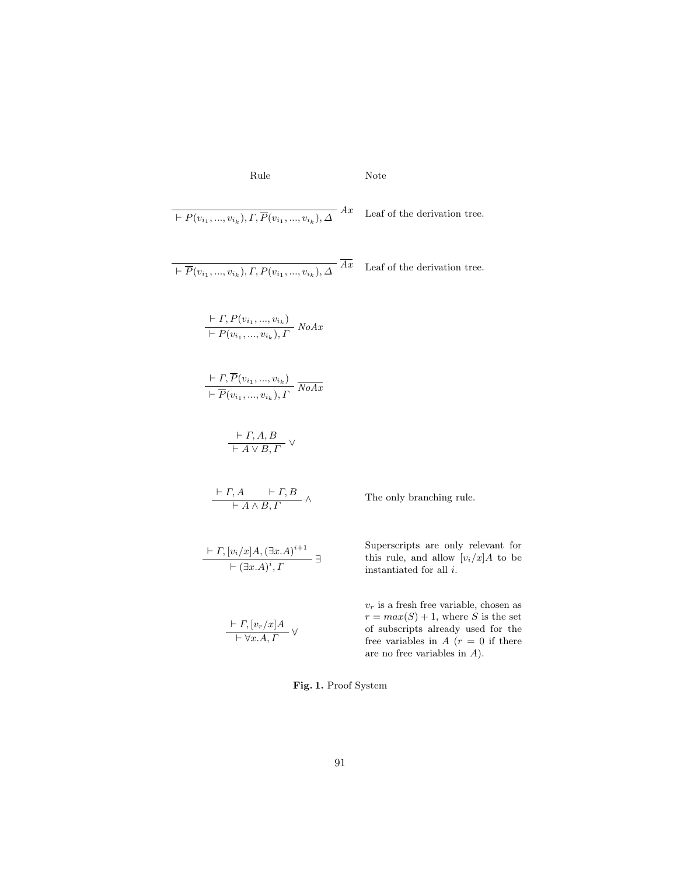Rule Note

$$
+ P(v_{i_1},...,v_{i_k}), \overline{P}(v_{i_1},...,v_{i_k}), \Delta
$$
 \n
$$
+ \overline{P}(v_{i_1},...,v_{i_k}), \overline{P}(v_{i_1},...,v_{i_k}), \Delta
$$
 \n
$$
+ \overline{P}(v_{i_1},...,v_{i_k}), \overline{P}(v_{i_1},...,v_{i_k}), \Delta
$$
 \n
$$
+ \overline{P}(v_{i_1},...,v_{i_k}), \overline{P}(v_{i_1},...,v_{i_k}), \Delta
$$
 \n
$$
+ \overline{P}(v_{i_1},...,v_{i_k}), \overline{P}(v_{i_1},...,v_{i_k}), \Delta
$$
\n
$$
+ \overline{P}(v_{i_1},...,v_{i_k}), \overline{P}(v_{i_1},...,v_{i_k}), \Delta
$$
\n
$$
+ \overline{P}(v_{i_1},...,v_{i_k}), \overline{P}(v_{i_1},...,v_{i_k}), \Delta
$$
\n
$$
+ \overline{P}(v_{i_1},...,v_{i_k}), \Delta
$$
\n
$$
+ \overline{P}(v_{i_1},...,v_{i_k}), \Delta
$$
\n
$$
+ \overline{P}(v_{i_1},...,v_{i_k}), \Delta
$$
\n
$$
+ \overline{P}(v_{i_1},...,v_{i_k}), \Delta
$$
\n
$$
+ \overline{P}(v_{i_1},...,v_{i_k}), \Delta
$$
\n
$$
+ \overline{P}(v_{i_1},...,v_{i_k})
$$
\n
$$
+ \overline{P}(v_{i_1},...,v_{i_k})
$$
\n
$$
+ \overline{P}(v_{i_1},...,v_{i_k})
$$
\n
$$
+ \overline{P}(v_{i_1},...,v_{i_k})
$$
\n
$$
+ \overline{P}(v_{i_1},...,v_{i_k})
$$
\n
$$
+ \overline{P}(v_{i_1},...,v_{i_k})
$$
\n
$$
+ \overline{P}(v_{i_1},...,v_{i_k})
$$
\n
$$
+ \overline{P}(v_{i_1},...,v_{i_k})
$$
\n
$$
+ \overline{P}(v_{i_1},...,v_{i_k})
$$
\n $$ 

<span id="page-3-0"></span>Fig. 1. Proof System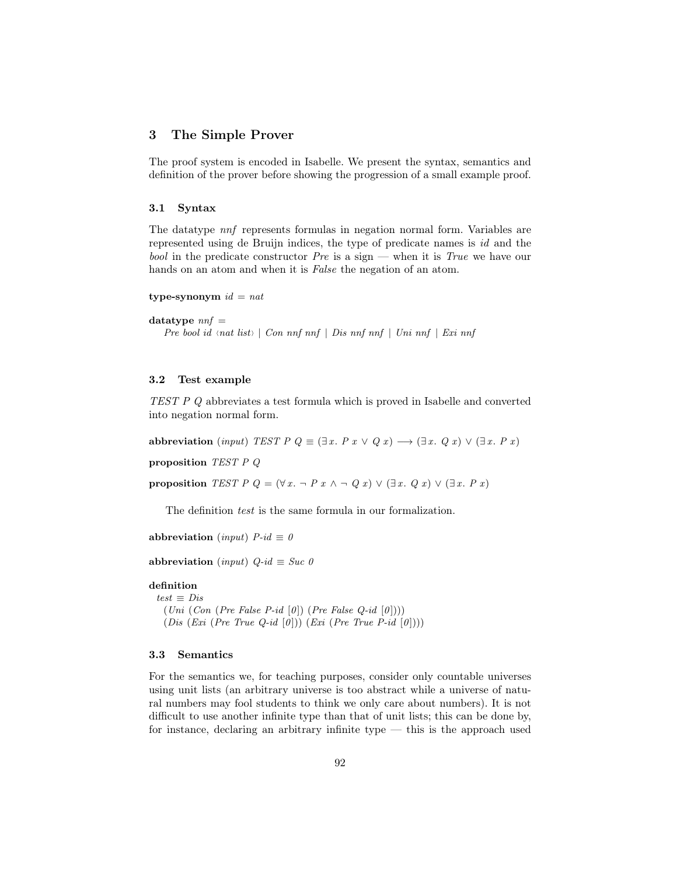### <span id="page-4-0"></span>3 The Simple Prover

The proof system is encoded in Isabelle. We present the syntax, semantics and definition of the prover before showing the progression of a small example proof.

### 3.1 Syntax

The datatype nnf represents formulas in negation normal form. Variables are represented using de Bruijn indices, the type of predicate names is id and the bool in the predicate constructor  $Pre$  is a sign — when it is True we have our hands on an atom and when it is False the negation of an atom.

```
type-synonym id = nat
```

```
datatype nnf =
```
Pre bool id  $\langle$ nat list $\rangle$  | Con nnf nnf | Dis nnf nnf | Uni nnf | Exi nnf

#### 3.2 Test example

TEST P Q abbreviates a test formula which is proved in Isabelle and converted into negation normal form.

abbreviation (input) TEST P  $Q \equiv (\exists x. P x \lor Q x) \rightarrow (\exists x. Q x) \lor (\exists x. P x)$ 

proposition TEST P Q

proposition TEST P  $Q = (\forall x \cdot \neg P x \land \neg Q x) \lor (\exists x \cdot Q x) \lor (\exists x \cdot P x)$ 

The definition test is the same formula in our formalization.

abbreviation (input)  $P$ -id  $\equiv 0$ 

abbreviation (input)  $Q$ -id  $\equiv$  Suc 0

# definition

 $test \equiv Dis$  $(Uni (Con (Pre False P-id [0]) (Pre False Q-id [0]))$  $(Dis (Exi (Pre True Q-id [0])) (Exi (Pre True P-id [0]))$ 

### 3.3 Semantics

For the semantics we, for teaching purposes, consider only countable universes using unit lists (an arbitrary universe is too abstract while a universe of natural numbers may fool students to think we only care about numbers). It is not difficult to use another infinite type than that of unit lists; this can be done by, for instance, declaring an arbitrary infinite type — this is the approach used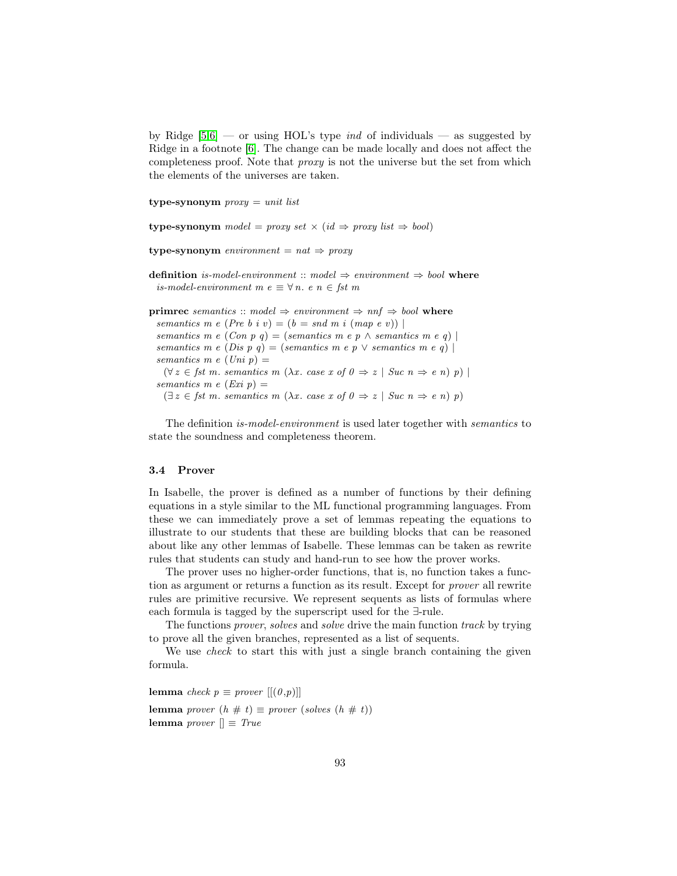by Ridge  $[5,6]$  $[5,6]$  — or using HOL's type *ind* of individuals — as suggested by Ridge in a footnote [\[6\]](#page-16-1). The change can be made locally and does not affect the completeness proof. Note that proxy is not the universe but the set from which the elements of the universes are taken.

type-synonym  $\text{prox}_y = \text{unit list}$ 

type-synonym model = proxy set  $\times$  (id  $\Rightarrow$  proxy list  $\Rightarrow$  bool)

type-synonym environment =  $nat \Rightarrow proxy$ 

definition *is-model-environment* :: model  $\Rightarrow$  environment  $\Rightarrow$  bool where is-model-environment m $e \equiv \forall n.$ <br/> $e$ n $\in$ fst m

```
primrec semantics :: model \Rightarrow environment \Rightarrow nnf \Rightarrow bool where
  semantics m e (Pre b i v) = (b = \text{snd } m \text{ i } (\text{map } e \text{ v}))semantics m e (Con p q) = (semantics m e p \land semantics m e q) |
  semantics m e (Dis p q) = (semantics m e p \vee semantics m e q) |
  semantics m e (Uni p) =(\forall z \in \text{fst } m \text{. semantics } m \text{ } (\lambda x \text{. case } x \text{ of } 0 \Rightarrow z \mid \text{Suc } n \Rightarrow e \text{ } n) \text{ } p)semantics m e (Exi p) =(\exists z \in \text{fst } m. \text{ semantics } m \ (\lambda x. \text{ case } x \text{ of } 0 \Rightarrow z \mid \text{Suc } n \Rightarrow e \text{ } n) \text{ } p)
```
The definition is-model-environment is used later together with semantics to state the soundness and completeness theorem.

#### 3.4 Prover

In Isabelle, the prover is defined as a number of functions by their defining equations in a style similar to the ML functional programming languages. From these we can immediately prove a set of lemmas repeating the equations to illustrate to our students that these are building blocks that can be reasoned about like any other lemmas of Isabelle. These lemmas can be taken as rewrite rules that students can study and hand-run to see how the prover works.

The prover uses no higher-order functions, that is, no function takes a function as argument or returns a function as its result. Except for prover all rewrite rules are primitive recursive. We represent sequents as lists of formulas where each formula is tagged by the superscript used for the ∃-rule.

The functions prover, solves and solve drive the main function track by trying to prove all the given branches, represented as a list of sequents.

We use *check* to start this with just a single branch containing the given formula.

lemma check  $p \equiv prover [[(0,p)]]$ lemma prover  $(h \# t) \equiv prover (solves (h \# t))$ lemma prover  $\parallel \equiv True$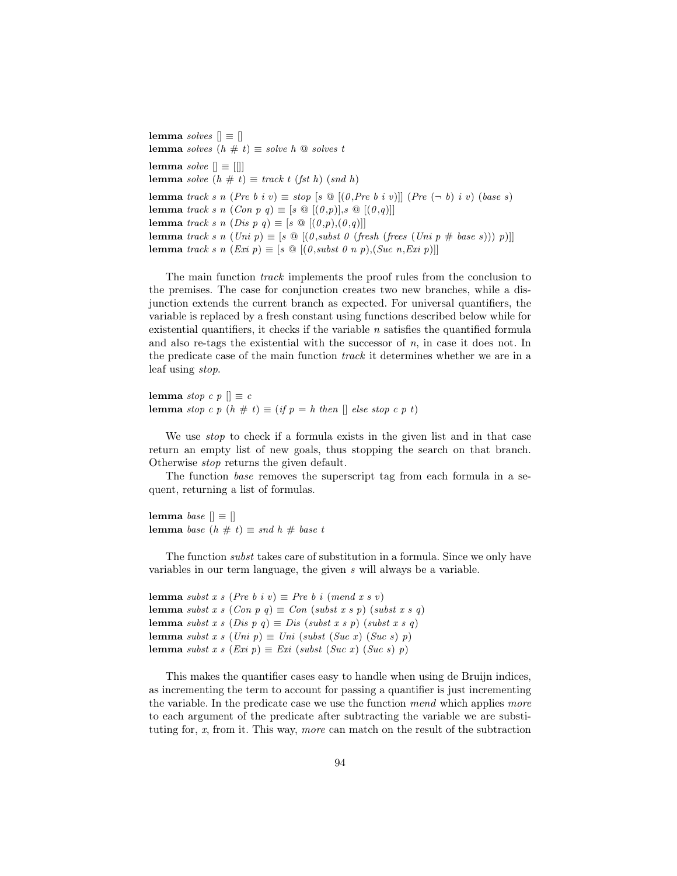lemma solves  $[] \equiv []$ lemma solves  $(h \# t) \equiv$  solve h  $\textcircled{a}$  solves t lemma solve  $[] \equiv []$ lemma solve  $(h \# t) \equiv$  track t (fst h) (snd h) lemma track s n (Pre b i v)  $\equiv$  stop  $[s \circledcirc [(0, Pre b i v)]]$  (Pre  $(\neg b)$  i v) (base s) lemma track s n  $(Con p q) \equiv [s \otimes [(0,p)], s \otimes [(0,q)]]$ lemma track s n (Dis p q)  $\equiv$  [s  $\mathcal{Q}$  [(0,p),(0,q)]] lemma track s n  $(Uni p) \equiv [s \; \textcircled{a} \; [(0,subst \; 0 \; ( fresh \; (frees \; (Uni p \# base s))) \; p)]]$ lemma track s n  $(Exi p) \equiv [s \ @ [(0,subset \ 0 \ n \ p), (Suc \ n, Exi \ p)]]$ 

The main function track implements the proof rules from the conclusion to the premises. The case for conjunction creates two new branches, while a disjunction extends the current branch as expected. For universal quantifiers, the variable is replaced by a fresh constant using functions described below while for existential quantifiers, it checks if the variable  $n$  satisfies the quantified formula and also re-tags the existential with the successor of  $n$ , in case it does not. In the predicate case of the main function track it determines whether we are in a leaf using stop.

lemma stop c p  $\parallel \equiv c$ lemma stop c p  $(h \# t) \equiv (if p = h then \parallel else stop c p t)$ 

We use *stop* to check if a formula exists in the given list and in that case return an empty list of new goals, thus stopping the search on that branch. Otherwise stop returns the given default.

The function *base* removes the superscript tag from each formula in a sequent, returning a list of formulas.

lemma base  $\parallel \equiv \parallel$ lemma base  $(h \# t) \equiv$  snd  $h \#$  base t

The function *subst* takes care of substitution in a formula. Since we only have variables in our term language, the given s will always be a variable.

lemma subst x s (Pre b i v)  $\equiv$  Pre b i (mend x s v) lemma subst x s (Con p q)  $\equiv$  Con (subst x s p) (subst x s q) lemma subst x s (Dis p q)  $\equiv$  Dis (subst x s p) (subst x s q) lemma subst x s (Uni p)  $\equiv$  Uni (subst (Suc x) (Suc s) p) lemma subst x s (Exi p)  $\equiv$  Exi (subst (Suc x) (Suc s) p)

This makes the quantifier cases easy to handle when using de Bruijn indices, as incrementing the term to account for passing a quantifier is just incrementing the variable. In the predicate case we use the function mend which applies more to each argument of the predicate after subtracting the variable we are substituting for, x, from it. This way, more can match on the result of the subtraction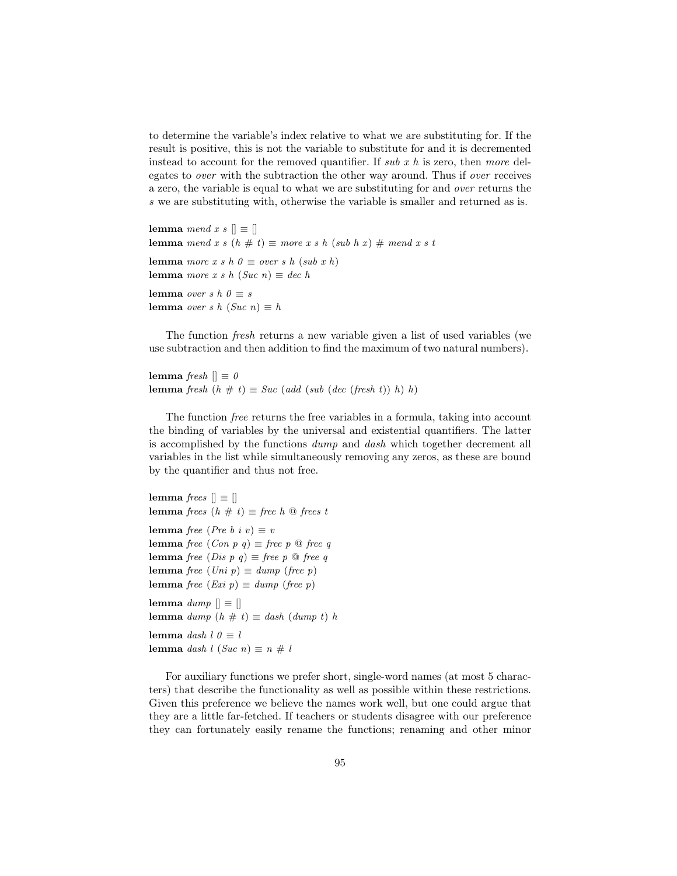to determine the variable's index relative to what we are substituting for. If the result is positive, this is not the variable to substitute for and it is decremented instead to account for the removed quantifier. If sub x h is zero, then more delegates to over with the subtraction the other way around. Thus if over receives a zero, the variable is equal to what we are substituting for and over returns the s we are substituting with, otherwise the variable is smaller and returned as is.

```
lemma mend x s \vert \vert \equiv \vert \vertlemma mend x s (h \# t) \equiv more x s h (sub h x) \# mend x s t
lemma more x s h 0 \equiv over s h (sub x h)
lemma more x s h (Suc n) \equiv dec h
lemma over s h 0 \equiv slemma over s h (Suc n) \equiv h
```
The function fresh returns a new variable given a list of used variables (we use subtraction and then addition to find the maximum of two natural numbers).

```
lemma fresh \parallel \equiv 0lemma fresh (h \# t) \equiv Suc (add (sub (dec (fresh t)) h) h)
```
The function free returns the free variables in a formula, taking into account the binding of variables by the universal and existential quantifiers. The latter is accomplished by the functions dump and dash which together decrement all variables in the list while simultaneously removing any zeros, as these are bound by the quantifier and thus not free.

```
lemma frees \parallel \equiv \parallellemma frees (h \# t) \equiv free h \Omega frees t
lemma free (Pre b i v) \equiv vlemma free (Con p q) \equiv free p \otimes free qlemma free (Dis p q) \equiv free p \Omega free q
lemma free (Uni\ p) \equiv dump\ (free\ p)lemma free (Exi p) \equiv dump (free p)
lemma dump \parallel \equiv \parallellemma dump (h \# t) \equiv dash (dump t) h
lemma dash l \theta \equiv llemma dash l (Suc n) \equiv n \# l
```
For auxiliary functions we prefer short, single-word names (at most 5 characters) that describe the functionality as well as possible within these restrictions. Given this preference we believe the names work well, but one could argue that they are a little far-fetched. If teachers or students disagree with our preference they can fortunately easily rename the functions; renaming and other minor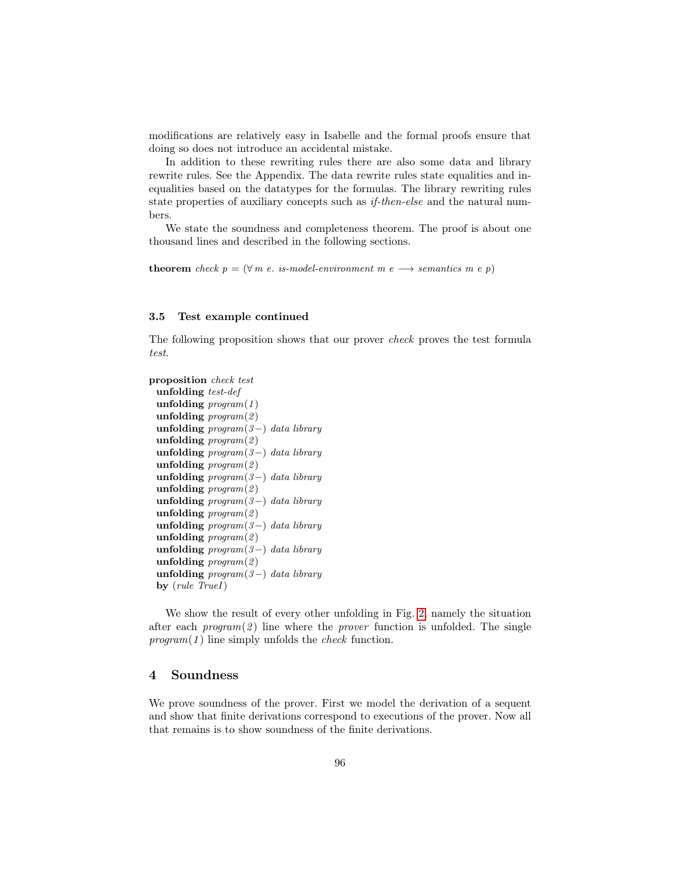modifications are relatively easy in Isabelle and the formal proofs ensure that doing so does not introduce an accidental mistake.

In addition to these rewriting rules there are also some data and library rewrite rules. See the Appendix. The data rewrite rules state equalities and inequalities based on the datatypes for the formulas. The library rewriting rules state properties of auxiliary concepts such as *if-then-else* and the natural numbers.

We state the soundness and completeness theorem. The proof is about one thousand lines and described in the following sections.

theorem check  $p = (\forall m \ e. \ is \ model\-environment \ m \ e \longrightarrow \ semantics \ m \ e \ p)$ 

#### 3.5 Test example continued

The following proposition shows that our prover check proves the test formula test.

```
proposition check test
 unfolding test-def
 unfolding program(1)unfolding program(2)unfolding program(3-) data libraryunfolding program(2)unfolding program(3-) data libraryunfolding program(2)unfolding program(3-) data libraryunfolding program(2)unfolding program(3-) data libraryunfolding program(2)unfolding program(3-) data libraryunfolding \textit{program}(2)unfolding program(3-) data libraryunfolding program(2)unfolding program(3-) data libraryby (rule TrueI)
```
We show the result of every other unfolding in Fig. [2,](#page-9-0) namely the situation after each  $program(2)$  line where the *prover* function is unfolded. The single  $program(1)$  line simply unfolds the *check* function.

# <span id="page-8-0"></span>4 Soundness

We prove soundness of the prover. First we model the derivation of a sequent and show that finite derivations correspond to executions of the prover. Now all that remains is to show soundness of the finite derivations.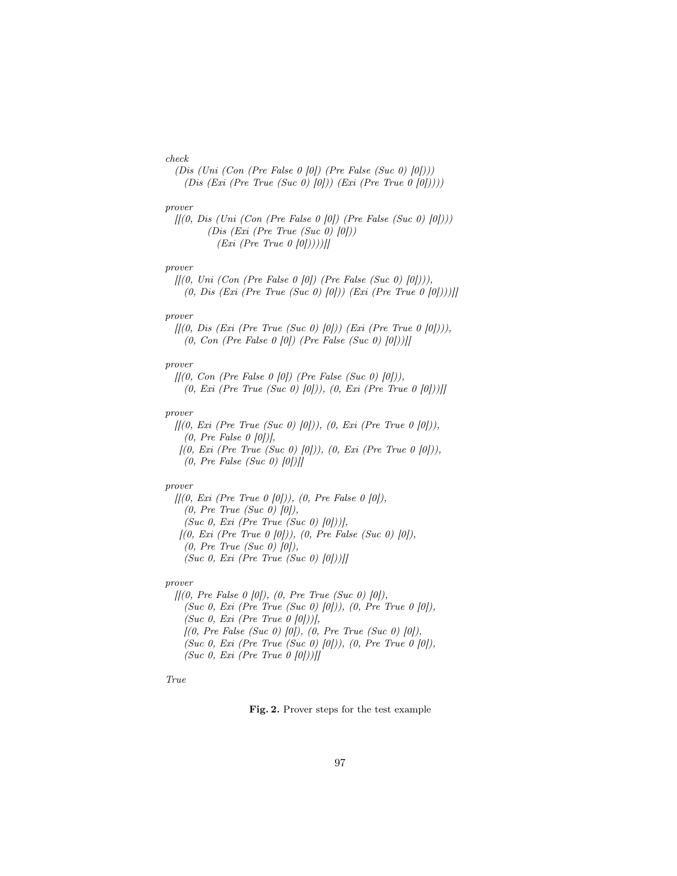#### check

(Dis (Uni (Con (Pre False 0  $[0]$ ) (Pre False (Suc 0)  $[0]$ ))) (Dis (Exi (Pre True (Suc 0) [0])) (Exi (Pre True 0  $[0]$ ))))

#### prover

 $[[(0, Dis (Uni (Con (Pre False 0 [0]) (Pre False (Suc 0) [0]))]$ (Dis (Exi (Pre True (Suc 0) [0]))  $(Exi (Pre True 0 [0]))$ 

#### prover

 $[[(0, Uni (Con (Pre False 0 [0]) (Pre False (Suc 0) [0)])),$ (0, Dis (Exi (Pre True (Suc 0) [0])) (Exi (Pre True 0 [0])))]]

#### prover

 $[[(0, Dis (Ext (Pre True (Suc 0) [0])) (Ext (Pre True 0 [0)])),$  $(0, Con (Pre False 0 [0]) (Pre False (Suc 0) [0]))$ 

### prover

 $[[(0, Con (Pre False 0 [0]) (Pre False (Suc 0) [0]])]$  $(0, Exi$  (Pre True (Suc 0) [0])),  $(0, Exi$  (Pre True 0 [0]))]]

#### prover

 $[[(0, Exi (Pre True (Suc 0) [0)]), (0, Exi (Pre True 0 [0)]),$  $(0, Pre False 0 [0]),$  $[(0, Exi (Pre True (Suc 0) [0)]), (0, Exi (Pre True 0 [0)]),$ 

 $(0, Pre False (Suc 0) [0])$ 

#### prover

 $[[(0, Exi (Pre True 0 [0])), (0, Pre False 0 [0]),$  $(0, Pre True (Suc 0) [0]),$ (Suc 0, Exi (Pre True (Suc 0)  $[0]/$ ),  $[(0, Exi (Pre True 0 [0])), (0, Pre False (Suc 0) [0]),$  $(0, Pre True (Suc 0) [0]),$ (Suc 0, Exi (Pre True (Suc 0)  $[0]/$ 

#### prover

 $[[(0, Pre False 0 [0]), (0, Pre True (Suc 0) [0]),$ (Suc 0, Exi (Pre True (Suc 0) [0])), (0, Pre True 0 [0]), (Suc 0, Exi (Pre True  $0$  [0]))],  $[(0, Pre False (Suc 0) [0]), (0, Pre True (Suc 0) [0]),$ (Suc 0, Exi (Pre True (Suc 0)  $[0]$ )),  $(0, Pre True 0 [0]),$ (Suc 0, Exi (Pre True  $0$  [0]))]]

### <span id="page-9-0"></span>True

Fig. 2. Prover steps for the test example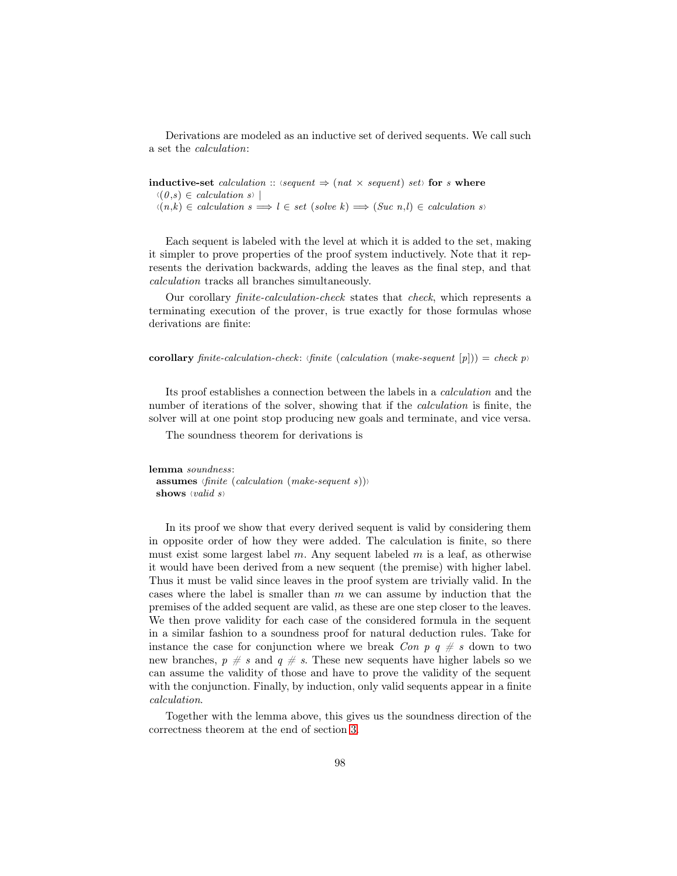Derivations are modeled as an inductive set of derived sequents. We call such a set the calculation:

inductive-set calculation ::  $\langle \text{sequent} \Rightarrow (\text{nat} \times \text{sequent}) \text{ set} \rangle$  for s where  $\langle (0,s) \in \text{calculation } s \rangle$  $h(n,k) \in calculation s \Longrightarrow l \in set (solve k) \Longrightarrow (Suc n,l) \in calculation s$ 

Each sequent is labeled with the level at which it is added to the set, making it simpler to prove properties of the proof system inductively. Note that it represents the derivation backwards, adding the leaves as the final step, and that calculation tracks all branches simultaneously.

Our corollary finite-calculation-check states that check, which represents a terminating execution of the prover, is true exactly for those formulas whose derivations are finite:

corollary finite-calculation-check: (finite (calculation (make-sequent  $[p]) =$  check p)

Its proof establishes a connection between the labels in a calculation and the number of iterations of the solver, showing that if the *calculation* is finite, the solver will at one point stop producing new goals and terminate, and vice versa.

The soundness theorem for derivations is

```
lemma soundness:
```
assumes  $\langle finite \ (calculation \ (make-sequent \ s))\rangle$ shows  $\langle valid \rangle$ 

In its proof we show that every derived sequent is valid by considering them in opposite order of how they were added. The calculation is finite, so there must exist some largest label  $m$ . Any sequent labeled  $m$  is a leaf, as otherwise it would have been derived from a new sequent (the premise) with higher label. Thus it must be valid since leaves in the proof system are trivially valid. In the cases where the label is smaller than  $m$  we can assume by induction that the premises of the added sequent are valid, as these are one step closer to the leaves. We then prove validity for each case of the considered formula in the sequent in a similar fashion to a soundness proof for natural deduction rules. Take for instance the case for conjunction where we break Con  $p \, q \neq s$  down to two new branches,  $p \neq s$  and  $q \neq s$ . These new sequents have higher labels so we can assume the validity of those and have to prove the validity of the sequent with the conjunction. Finally, by induction, only valid sequents appear in a finite calculation.

Together with the lemma above, this gives us the soundness direction of the correctness theorem at the end of section [3.](#page-4-0)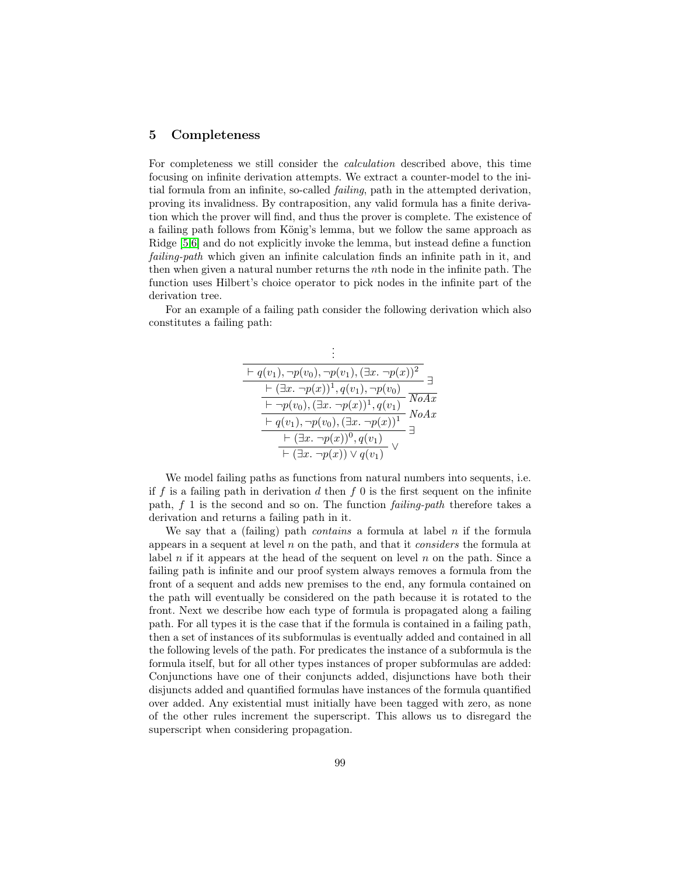### 5 Completeness

For completeness we still consider the calculation described above, this time focusing on infinite derivation attempts. We extract a counter-model to the initial formula from an infinite, so-called failing, path in the attempted derivation, proving its invalidness. By contraposition, any valid formula has a finite derivation which the prover will find, and thus the prover is complete. The existence of a failing path follows from König's lemma, but we follow the same approach as Ridge [\[5](#page-16-0)[,6\]](#page-16-1) and do not explicitly invoke the lemma, but instead define a function failing-path which given an infinite calculation finds an infinite path in it, and then when given a natural number returns the nth node in the infinite path. The function uses Hilbert's choice operator to pick nodes in the infinite part of the derivation tree.

For an example of a failing path consider the following derivation which also constitutes a failing path:

| $\vdash q(v_1), \neg p(v_0), \neg p(v_1), (\exists x. \neg p(x))^2$                                      |                       |
|----------------------------------------------------------------------------------------------------------|-----------------------|
| $\vdash (\exists x. \neg p(x))^1, q(v_1), \neg p(v_0)$                                                   |                       |
| $\vdash \neg p(v_0), (\overline{\exists x. \neg p(x))^1}, q(v_1)$                                        | NoAx<br>$N\alpha A x$ |
| $\overline{\vdash q(v_1)}, \neg p(v_0), (\exists x. \neg p(x))^1$                                        |                       |
| $\frac{\overline{\vdash (\exists x. \neg p(x))^{0}, q(v_1)}}{\vdash (\exists x. \neg p(x)) \lor q(v_1)}$ |                       |
|                                                                                                          |                       |

We model failing paths as functions from natural numbers into sequents, i.e. if f is a failing path in derivation  $d$  then  $f$  0 is the first sequent on the infinite path, f 1 is the second and so on. The function failing-path therefore takes a derivation and returns a failing path in it.

We say that a (failing) path *contains* a formula at label n if the formula appears in a sequent at level  $n$  on the path, and that it *considers* the formula at label n if it appears at the head of the sequent on level n on the path. Since a failing path is infinite and our proof system always removes a formula from the front of a sequent and adds new premises to the end, any formula contained on the path will eventually be considered on the path because it is rotated to the front. Next we describe how each type of formula is propagated along a failing path. For all types it is the case that if the formula is contained in a failing path, then a set of instances of its subformulas is eventually added and contained in all the following levels of the path. For predicates the instance of a subformula is the formula itself, but for all other types instances of proper subformulas are added: Conjunctions have one of their conjuncts added, disjunctions have both their disjuncts added and quantified formulas have instances of the formula quantified over added. Any existential must initially have been tagged with zero, as none of the other rules increment the superscript. This allows us to disregard the superscript when considering propagation.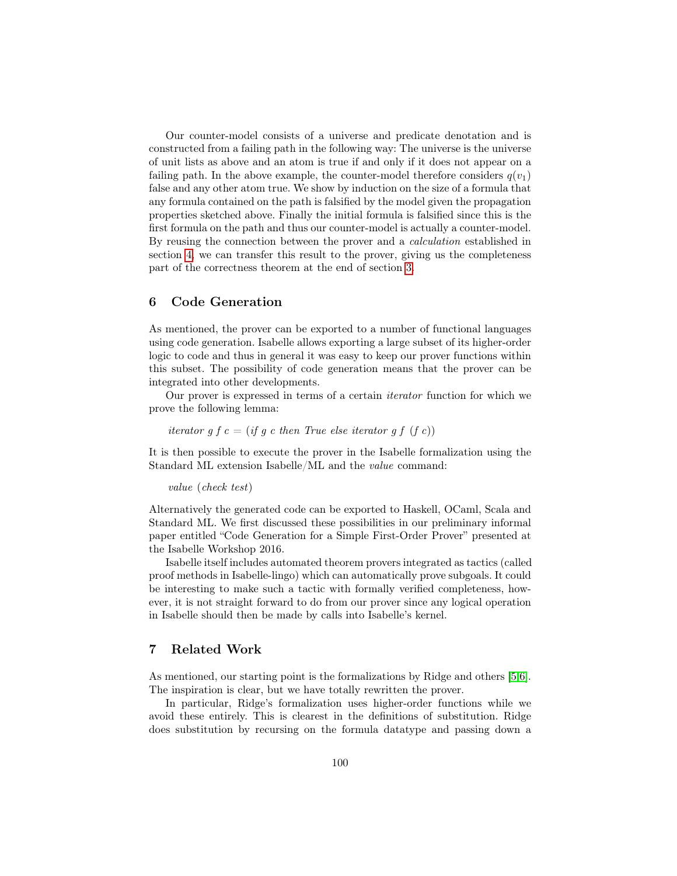Our counter-model consists of a universe and predicate denotation and is constructed from a failing path in the following way: The universe is the universe of unit lists as above and an atom is true if and only if it does not appear on a failing path. In the above example, the counter-model therefore considers  $q(v_1)$ false and any other atom true. We show by induction on the size of a formula that any formula contained on the path is falsified by the model given the propagation properties sketched above. Finally the initial formula is falsified since this is the first formula on the path and thus our counter-model is actually a counter-model. By reusing the connection between the prover and a calculation established in section [4,](#page-8-0) we can transfer this result to the prover, giving us the completeness part of the correctness theorem at the end of section [3.](#page-4-0)

# 6 Code Generation

As mentioned, the prover can be exported to a number of functional languages using code generation. Isabelle allows exporting a large subset of its higher-order logic to code and thus in general it was easy to keep our prover functions within this subset. The possibility of code generation means that the prover can be integrated into other developments.

Our prover is expressed in terms of a certain iterator function for which we prove the following lemma:

iterator g  $f c = (if g c then True else iterator g f (f c))$ 

It is then possible to execute the prover in the Isabelle formalization using the Standard ML extension Isabelle/ML and the value command:

value (check test)

Alternatively the generated code can be exported to Haskell, OCaml, Scala and Standard ML. We first discussed these possibilities in our preliminary informal paper entitled "Code Generation for a Simple First-Order Prover" presented at the Isabelle Workshop 2016.

Isabelle itself includes automated theorem provers integrated as tactics (called proof methods in Isabelle-lingo) which can automatically prove subgoals. It could be interesting to make such a tactic with formally verified completeness, however, it is not straight forward to do from our prover since any logical operation in Isabelle should then be made by calls into Isabelle's kernel.

# 7 Related Work

As mentioned, our starting point is the formalizations by Ridge and others [\[5,](#page-16-0)[6\]](#page-16-1). The inspiration is clear, but we have totally rewritten the prover.

In particular, Ridge's formalization uses higher-order functions while we avoid these entirely. This is clearest in the definitions of substitution. Ridge does substitution by recursing on the formula datatype and passing down a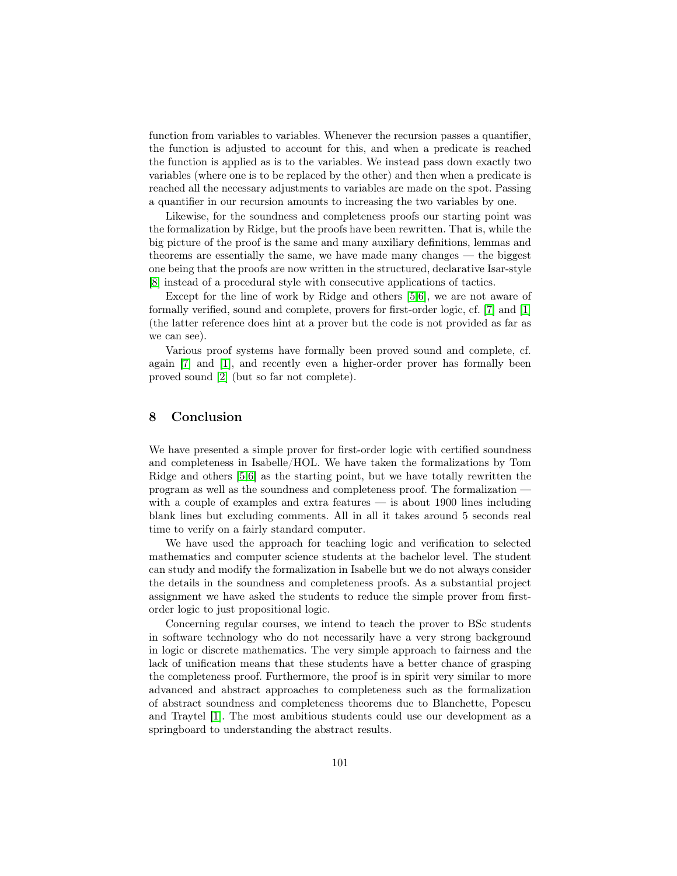function from variables to variables. Whenever the recursion passes a quantifier, the function is adjusted to account for this, and when a predicate is reached the function is applied as is to the variables. We instead pass down exactly two variables (where one is to be replaced by the other) and then when a predicate is reached all the necessary adjustments to variables are made on the spot. Passing a quantifier in our recursion amounts to increasing the two variables by one.

Likewise, for the soundness and completeness proofs our starting point was the formalization by Ridge, but the proofs have been rewritten. That is, while the big picture of the proof is the same and many auxiliary definitions, lemmas and theorems are essentially the same, we have made many changes — the biggest one being that the proofs are now written in the structured, declarative Isar-style [\[8\]](#page-16-2) instead of a procedural style with consecutive applications of tactics.

Except for the line of work by Ridge and others [\[5,](#page-16-0)[6\]](#page-16-1), we are not aware of formally verified, sound and complete, provers for first-order logic, cf. [\[7\]](#page-16-3) and [\[1\]](#page-16-4) (the latter reference does hint at a prover but the code is not provided as far as we can see).

Various proof systems have formally been proved sound and complete, cf. again [\[7\]](#page-16-3) and [\[1\]](#page-16-4), and recently even a higher-order prover has formally been proved sound [\[2\]](#page-16-5) (but so far not complete).

# 8 Conclusion

We have presented a simple prover for first-order logic with certified soundness and completeness in Isabelle/HOL. We have taken the formalizations by Tom Ridge and others [\[5,](#page-16-0)[6\]](#page-16-1) as the starting point, but we have totally rewritten the program as well as the soundness and completeness proof. The formalization with a couple of examples and extra features — is about 1900 lines including blank lines but excluding comments. All in all it takes around 5 seconds real time to verify on a fairly standard computer.

We have used the approach for teaching logic and verification to selected mathematics and computer science students at the bachelor level. The student can study and modify the formalization in Isabelle but we do not always consider the details in the soundness and completeness proofs. As a substantial project assignment we have asked the students to reduce the simple prover from firstorder logic to just propositional logic.

Concerning regular courses, we intend to teach the prover to BSc students in software technology who do not necessarily have a very strong background in logic or discrete mathematics. The very simple approach to fairness and the lack of unification means that these students have a better chance of grasping the completeness proof. Furthermore, the proof is in spirit very similar to more advanced and abstract approaches to completeness such as the formalization of abstract soundness and completeness theorems due to Blanchette, Popescu and Traytel [\[1\]](#page-16-4). The most ambitious students could use our development as a springboard to understanding the abstract results.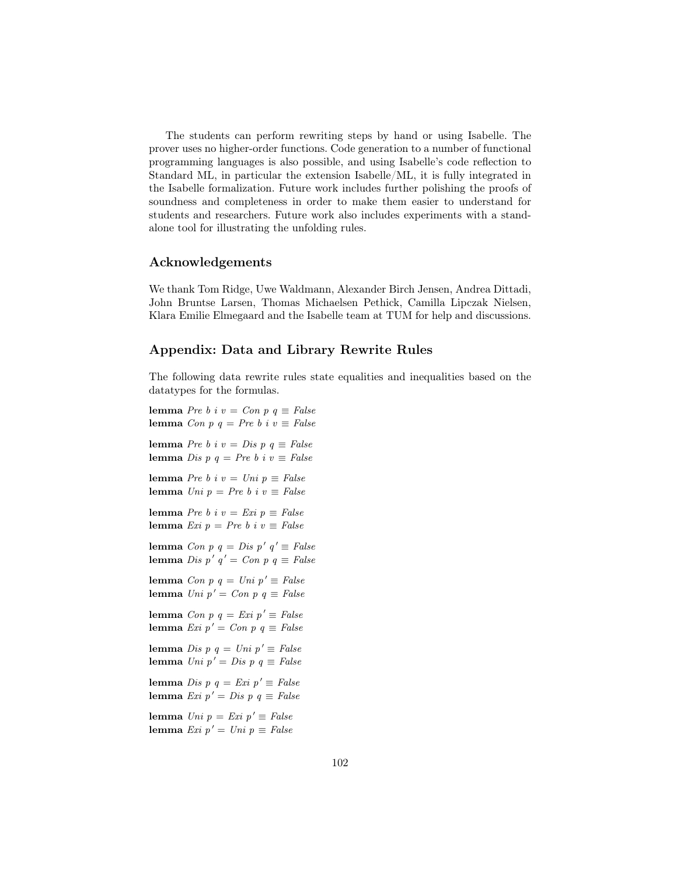The students can perform rewriting steps by hand or using Isabelle. The prover uses no higher-order functions. Code generation to a number of functional programming languages is also possible, and using Isabelle's code reflection to Standard ML, in particular the extension Isabelle/ML, it is fully integrated in the Isabelle formalization. Future work includes further polishing the proofs of soundness and completeness in order to make them easier to understand for students and researchers. Future work also includes experiments with a standalone tool for illustrating the unfolding rules.

## Acknowledgements

We thank Tom Ridge, Uwe Waldmann, Alexander Birch Jensen, Andrea Dittadi, John Bruntse Larsen, Thomas Michaelsen Pethick, Camilla Lipczak Nielsen, Klara Emilie Elmegaard and the Isabelle team at TUM for help and discussions.

# Appendix: Data and Library Rewrite Rules

The following data rewrite rules state equalities and inequalities based on the datatypes for the formulas.

lemma Pre b i v = Con p  $q \equiv False$ lemma Con p q = Pre b i  $v \equiv False$ lemma Pre b i v = Dis p  $q \equiv False$ lemma Dis p q = Pre b i  $v \equiv False$ lemma Pre b i v = Uni p  $\equiv$  False lemma  $Uni$   $p = Pre b$  i  $v \equiv False$ lemma Pre b i  $v = Exi$   $p \equiv False$ lemma Exi  $p = Pre b$  i  $v \equiv False$ lemma Con p  $q = Dis p' q' \equiv False$ lemma Dis p'  $q' = Con p q \equiv False$ lemma Con p q = Uni p'  $\equiv$  False lemma Uni p' = Con p q  $\equiv$  False lemma Con p  $q = Exi p' \equiv False$ lemma Exi  $p' = Con \, p \, q \equiv False$ lemma Dis p q = Uni p'  $\equiv$  False lemma Uni p' = Dis p q  $\equiv$  False lemma Dis p q = Exi p'  $\equiv$  False lemma Exi  $p' = Dis p q \equiv False$ lemma Uni  $p = Exi$   $p' \equiv False$ lemma Exi  $p' = Uni$   $p \equiv False$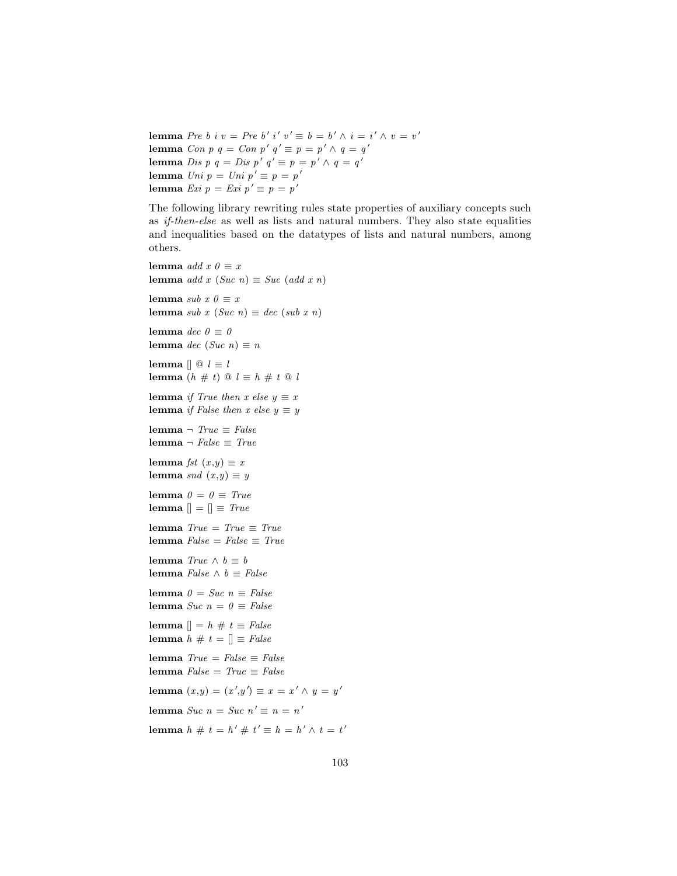lemma Pre b i  $v = Pre b' i' v' \equiv b = b' \wedge i = i' \wedge v = v'$ lemma Con p  $q = Con p' q' \equiv p = p' \wedge q = q'$ lemma Dis p  $q = Dis p' q' \equiv p = p' \wedge q = q'$ lemma  $Uni p = Uni p' \equiv p = p'$ lemma  $Exi p = Exi p' \equiv p = p'$ 

The following library rewriting rules state properties of auxiliary concepts such as if-then-else as well as lists and natural numbers. They also state equalities and inequalities based on the datatypes of lists and natural numbers, among others.

lemma *add*  $x \theta \equiv x$ lemma add x (Suc n)  $\equiv$  Suc (add x n) lemma sub  $x \theta \equiv x$ lemma sub x (Suc n)  $\equiv$  dec (sub x n) lemma dec  $0 \equiv 0$ lemma dec (Suc n)  $\equiv n$ lemma  $[] @ l \equiv l$ lemma  $(h \# t) @ l \equiv h \# t @ l$ lemma if True then x else  $y \equiv x$ lemma if False then x else  $y \equiv y$ lemma ¬  $True \equiv False$ lemma ¬  $False \equiv True$ lemma *fst*  $(x,y) \equiv x$ lemma snd  $(x,y) \equiv y$ lemma  $0 = 0 \equiv True$ lemma  $[] = [] \equiv True$ lemma  $True = True \equiv True$ lemma  $False = False \equiv True$ lemma  $True \wedge b \equiv b$ lemma *False* ∧  $b \equiv False$ lemma  $0 = Succ n \equiv False$ lemma Suc  $n = 0 \equiv False$ lemma  $[] = h \# t \equiv False$ lemma  $h \# t = [] \equiv False$ lemma  $True = False \equiv False$ lemma  $False = True \equiv False$ lemma  $(x,y) = (x', y') \equiv x = x' \wedge y = y'$ lemma Suc  $n = S$ uc  $n' \equiv n = n'$ lemma  $h \# t = h' \# t' \equiv h = h' \wedge t = t'$